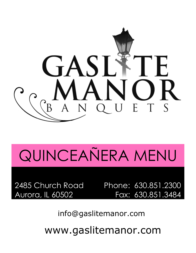

# QUINCEAÑERA MENU

Aurora, IL 60502

2485 Church Road Phone: 630.851.2300 Fax: 630.851.3484

info@gaslitemanor.com

www.gaslitemanor.com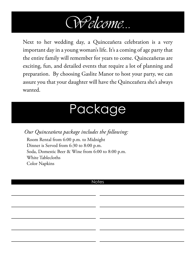

Next to her wedding day, a Quinceañera celebration is a very important day in a young woman's life. It's a coming of age party that the entire family will remember for years to come. Quinceañeras are exciting, fun, and detailed events that require a lot of planning and preparation. By choosing Gaslite Manor to host your party, we can assure you that your daughter will have the Quinceañera she's always wanted.

# Package

*Our Quinceañera package includes the following:*

Room Rental from 6:00 p.m. to Midnight Dinner is Served from 6:30 to 8:00 p.m. Soda, Domestic Beer & Wine from 6:00 to 8:00 p.m. White Tablecloths Color Napkins

## **Notes**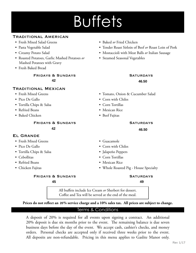# **Buffets**

## Traditional American

- Fresh Mixed Salad Greens Baked *or* Fried Chicken
- 
- 
- Roasted Potatoes, Garlic Mashed Potatoes *or* Mashed Potatoes with Gravy
- Fresh Baked Bread

**FRIDAYS & SUNDAYS SATURDAYS**  $42$  46.5  $32$   $46.5$ **35.50 42 46.50**

### Traditional Mexican

- 
- 
- Tortilla Chips & Salsa Corn Tortillas
- 
- Baked Chicken Beef Fajitas

**FRIDAYS & SUNDAYS SATURDAYS** 

33.00 **35.50**

## El Grande

- Fresh Mixed Greens Guacamole
- 
- Tortilla Chips & Salsa Jalapeño Peppers
- 
- 
- 

## **FRIDAYS & SUNDAYS SATURDAYS**

**39.00**

- 
- Pasta Vegetable Salad Tender Roast Sirloin of Beef *or* Roast Loin of Pork
- Creamy Potato Salad Mostaccioli with Meat Balls *or* Italian Sausage
	- Steamed Seasonal Vegetables

# **42.00**

- Fresh Mixed Greens Tomato, Onion & Cucumber Salad
- Pico De Gallo Corn with Chiles
	-
- Refried Beans Mexican Rice
	-

 $42$   $46.5$ 39.00 **42.00 42 46.50**

- 
- Pico De Gallo Corn with Chiles
	-
- Cebollitas Corn Tortillas
- Refried Beans Mexican Rice
- Chicken Fajitas Whole Roasted Pig House Specialty

**45.00**

All buffets include Ice Cream *or* Sherbert for dessert. Coffee and Tea will be served at the end of the meal.

**Prices do not reflect an 18% service charge and a 10% sales tax. All prices are subject to change. 20**

## Terms & Conditions

A deposit of 20% is required for all events upon signing a contract. An additional 20% deposit is due six months prior to the event. The remaining balance is due seven business days before the day of the event. We accept cash, cashier's checks, and money orders. Personal checks are accepted only if received three weeks prior to the event. All deposits are non-refundable. Pricing in this menu applies to Gaslite Manor only.

**45. 49. 49. 49. 49. 49. 49. 49. 49. 49. 49. 49. 49. 49. 49. 49. 49. 40. 40. 40. 40. 40. 40. 40. 40. 40. 40. 40. 40. 40. 40. 40. 40. 40. 40. 40. 40. 45 49**